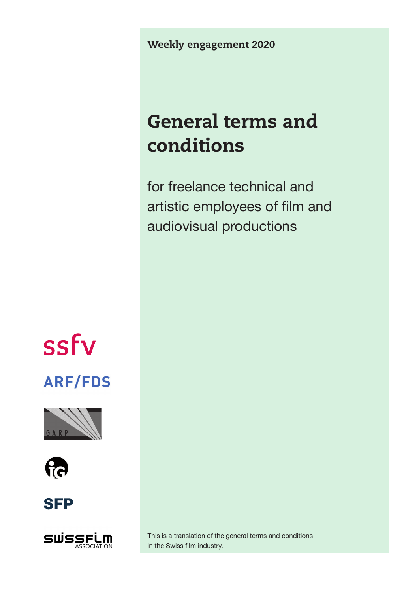Weekly engagement 2020

## General terms and conditions

for freelance technical and artistic employees of film and audiovisual productions



## **ARF/FDS**









This is a translation of the general terms and conditions in the Swiss film industry.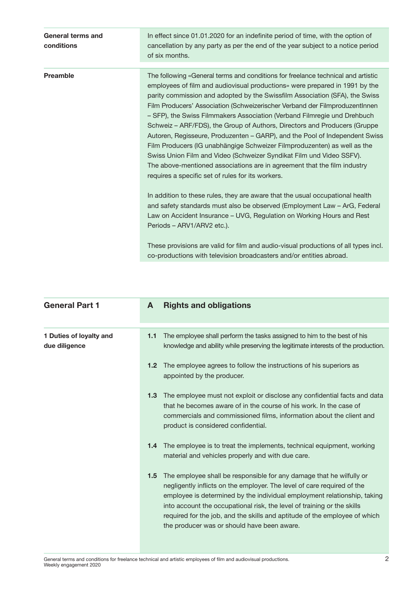| General terms and<br>conditions | In effect since 01.01.2020 for an indefinite period of time, with the option of<br>cancellation by any party as per the end of the year subject to a notice period<br>of six months.                                                                                                                                                                                                                                                                                                                                                                                                                                                                                                                                                                                                                                                                       |
|---------------------------------|------------------------------------------------------------------------------------------------------------------------------------------------------------------------------------------------------------------------------------------------------------------------------------------------------------------------------------------------------------------------------------------------------------------------------------------------------------------------------------------------------------------------------------------------------------------------------------------------------------------------------------------------------------------------------------------------------------------------------------------------------------------------------------------------------------------------------------------------------------|
| <b>Preamble</b>                 | The following «General terms and conditions for freelance technical and artistic<br>employees of film and audiovisual productions» were prepared in 1991 by the<br>parity commission and adopted by the Swissfilm Association (SFA), the Swiss<br>Film Producers' Association (Schweizerischer Verband der FilmproduzentInnen<br>- SFP), the Swiss Filmmakers Association (Verband Filmregie und Drehbuch<br>Schweiz – ARF/FDS), the Group of Authors, Directors and Producers (Gruppe<br>Autoren, Regisseure, Produzenten - GARP), and the Pool of Independent Swiss<br>Film Producers (IG unabhängige Schweizer Filmproduzenten) as well as the<br>Swiss Union Film and Video (Schweizer Syndikat Film und Video SSFV).<br>The above-mentioned associations are in agreement that the film industry<br>requires a specific set of rules for its workers. |
|                                 | In addition to these rules, they are aware that the usual occupational health<br>and safety standards must also be observed (Employment Law - ArG, Federal<br>Law on Accident Insurance - UVG, Regulation on Working Hours and Rest<br>Periods – ARV1/ARV2 etc.).<br>These provisions are valid for film and audio-visual productions of all types incl.<br>co-productions with television broadcasters and/or entities abroad.                                                                                                                                                                                                                                                                                                                                                                                                                            |

| <b>General Part 1</b>                    | A                | <b>Rights and obligations</b>                                                                                                                                                                                                                                                                                                                                                                                                       |
|------------------------------------------|------------------|-------------------------------------------------------------------------------------------------------------------------------------------------------------------------------------------------------------------------------------------------------------------------------------------------------------------------------------------------------------------------------------------------------------------------------------|
| 1 Duties of loyalty and<br>due diligence | 1.1              | The employee shall perform the tasks assigned to him to the best of his<br>knowledge and ability while preserving the legitimate interests of the production.                                                                                                                                                                                                                                                                       |
|                                          | 1.2              | The employee agrees to follow the instructions of his superiors as<br>appointed by the producer.                                                                                                                                                                                                                                                                                                                                    |
|                                          | 1.3 <sub>2</sub> | The employee must not exploit or disclose any confidential facts and data<br>that he becomes aware of in the course of his work. In the case of<br>commercials and commissioned films, information about the client and<br>product is considered confidential.                                                                                                                                                                      |
|                                          | $1.4^{\circ}$    | The employee is to treat the implements, technical equipment, working<br>material and vehicles properly and with due care.                                                                                                                                                                                                                                                                                                          |
|                                          | $1.5\,$          | The employee shall be responsible for any damage that he wilfully or<br>negligently inflicts on the employer. The level of care required of the<br>employee is determined by the individual employment relationship, taking<br>into account the occupational risk, the level of training or the skills<br>required for the job, and the skills and aptitude of the employee of which<br>the producer was or should have been aware. |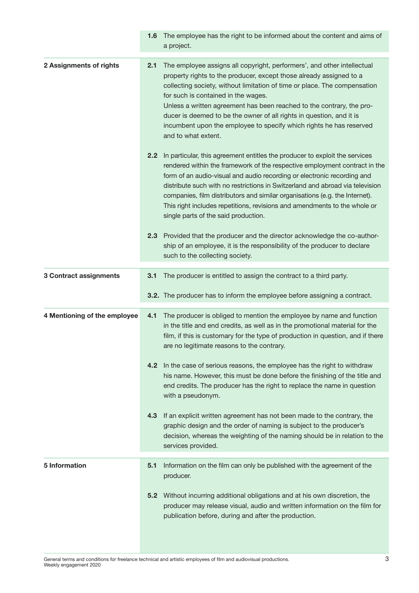|                               | 1.6 <sup>°</sup> | The employee has the right to be informed about the content and aims of<br>a project.                                                                                                                                                                                                                                                                                                                                                                                                                                     |
|-------------------------------|------------------|---------------------------------------------------------------------------------------------------------------------------------------------------------------------------------------------------------------------------------------------------------------------------------------------------------------------------------------------------------------------------------------------------------------------------------------------------------------------------------------------------------------------------|
| 2 Assignments of rights       | 2.1              | The employee assigns all copyright, performers', and other intellectual<br>property rights to the producer, except those already assigned to a<br>collecting society, without limitation of time or place. The compensation<br>for such is contained in the wages.<br>Unless a written agreement has been reached to the contrary, the pro-<br>ducer is deemed to be the owner of all rights in question, and it is<br>incumbent upon the employee to specify which rights he has reserved<br>and to what extent.         |
|                               | 2.2 <sub>2</sub> | In particular, this agreement entitles the producer to exploit the services<br>rendered within the framework of the respective employment contract in the<br>form of an audio-visual and audio recording or electronic recording and<br>distribute such with no restrictions in Switzerland and abroad via television<br>companies, film distributors and similar organisations (e.g. the Internet).<br>This right includes repetitions, revisions and amendments to the whole or<br>single parts of the said production. |
|                               |                  | 2.3 Provided that the producer and the director acknowledge the co-author-<br>ship of an employee, it is the responsibility of the producer to declare<br>such to the collecting society.                                                                                                                                                                                                                                                                                                                                 |
| <b>3 Contract assignments</b> | 3.1              | The producer is entitled to assign the contract to a third party.                                                                                                                                                                                                                                                                                                                                                                                                                                                         |
|                               |                  | 3.2. The producer has to inform the employee before assigning a contract.                                                                                                                                                                                                                                                                                                                                                                                                                                                 |
| 4 Mentioning of the employee  | 4.1              | The producer is obliged to mention the employee by name and function<br>in the title and end credits, as well as in the promotional material for the<br>film, if this is customary for the type of production in question, and if there<br>are no legitimate reasons to the contrary.                                                                                                                                                                                                                                     |
|                               |                  | 4.2 In the case of serious reasons, the employee has the right to withdraw<br>his name. However, this must be done before the finishing of the title and<br>end credits. The producer has the right to replace the name in question<br>with a pseudonym.                                                                                                                                                                                                                                                                  |
|                               | 4.3              | If an explicit written agreement has not been made to the contrary, the<br>graphic design and the order of naming is subject to the producer's<br>decision, whereas the weighting of the naming should be in relation to the<br>services provided.                                                                                                                                                                                                                                                                        |
| 5 Information                 | 5.1              | Information on the film can only be published with the agreement of the<br>producer.                                                                                                                                                                                                                                                                                                                                                                                                                                      |
|                               | 5.2              | Without incurring additional obligations and at his own discretion, the<br>producer may release visual, audio and written information on the film for<br>publication before, during and after the production.                                                                                                                                                                                                                                                                                                             |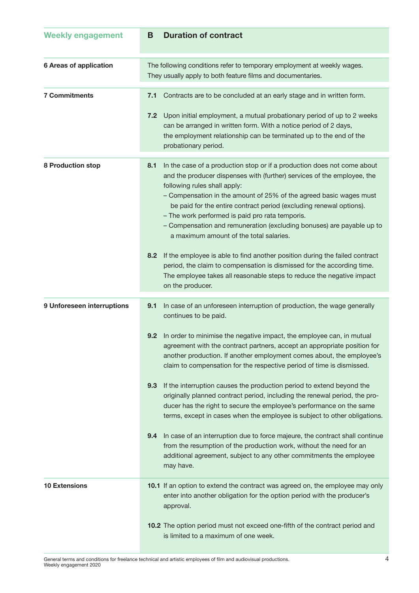| <b>Weekly engagement</b>      | <b>Duration of contract</b><br>В                                                                                                                                                                                                                                                                                                                                                                                                                                                                                                                                                                    |
|-------------------------------|-----------------------------------------------------------------------------------------------------------------------------------------------------------------------------------------------------------------------------------------------------------------------------------------------------------------------------------------------------------------------------------------------------------------------------------------------------------------------------------------------------------------------------------------------------------------------------------------------------|
| <b>6 Areas of application</b> | The following conditions refer to temporary employment at weekly wages.<br>They usually apply to both feature films and documentaries.                                                                                                                                                                                                                                                                                                                                                                                                                                                              |
| <b>7 Commitments</b>          | Contracts are to be concluded at an early stage and in written form.<br>7.1<br>Upon initial employment, a mutual probationary period of up to 2 weeks<br>7.2<br>can be arranged in written form. With a notice period of 2 days,<br>the employment relationship can be terminated up to the end of the<br>probationary period.                                                                                                                                                                                                                                                                      |
| 8 Production stop             | In the case of a production stop or if a production does not come about<br>8.1<br>and the producer dispenses with (further) services of the employee, the<br>following rules shall apply:<br>- Compensation in the amount of 25% of the agreed basic wages must<br>be paid for the entire contract period (excluding renewal options).<br>- The work performed is paid pro rata temporis.<br>- Compensation and remuneration (excluding bonuses) are payable up to<br>a maximum amount of the total salaries.<br>If the employee is able to find another position during the failed contract<br>8.2 |
|                               | period, the claim to compensation is dismissed for the according time.<br>The employee takes all reasonable steps to reduce the negative impact<br>on the producer.                                                                                                                                                                                                                                                                                                                                                                                                                                 |
| 9 Unforeseen interruptions    | In case of an unforeseen interruption of production, the wage generally<br>9.1<br>continues to be paid.<br>9.2 In order to minimise the negative impact, the employee can, in mutual<br>agreement with the contract partners, accept an appropriate position for<br>another production. If another employment comes about, the employee's<br>claim to compensation for the respective period of time is dismissed.                                                                                                                                                                                  |
|                               | If the interruption causes the production period to extend beyond the<br>9.3<br>originally planned contract period, including the renewal period, the pro-<br>ducer has the right to secure the employee's performance on the same<br>terms, except in cases when the employee is subject to other obligations.                                                                                                                                                                                                                                                                                     |
|                               | In case of an interruption due to force majeure, the contract shall continue<br>9.4<br>from the resumption of the production work, without the need for an<br>additional agreement, subject to any other commitments the employee<br>may have.                                                                                                                                                                                                                                                                                                                                                      |
| <b>10 Extensions</b>          | 10.1 If an option to extend the contract was agreed on, the employee may only<br>enter into another obligation for the option period with the producer's<br>approval.<br>10.2 The option period must not exceed one-fifth of the contract period and<br>is limited to a maximum of one week.                                                                                                                                                                                                                                                                                                        |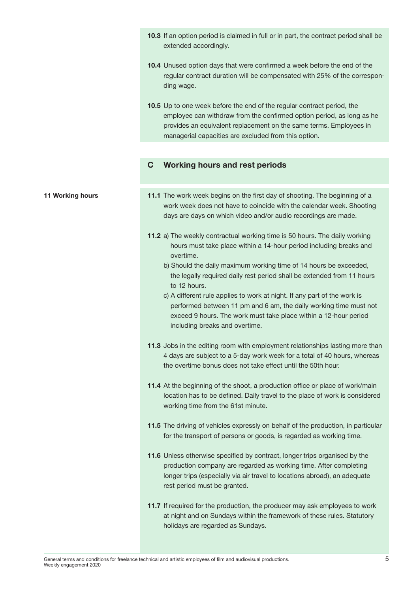| <b>10.3</b> If an option period is claimed in full or in part, the contract period shall be<br>extended accordingly.                                                                                                                                                                 |
|--------------------------------------------------------------------------------------------------------------------------------------------------------------------------------------------------------------------------------------------------------------------------------------|
| <b>10.4</b> Unused option days that were confirmed a week before the end of the<br>regular contract duration will be compensated with 25% of the correspon-<br>ding wage.                                                                                                            |
| <b>10.5</b> Up to one week before the end of the regular contract period, the<br>employee can withdraw from the confirmed option period, as long as he<br>provides an equivalent replacement on the same terms. Employees in<br>managerial capacities are excluded from this option. |

## **C Working hours and rest periods**

| 11 Working hours | 11.1 The work week begins on the first day of shooting. The beginning of a<br>work week does not have to coincide with the calendar week. Shooting<br>days are days on which video and/or audio recordings are made.                                         |
|------------------|--------------------------------------------------------------------------------------------------------------------------------------------------------------------------------------------------------------------------------------------------------------|
|                  | 11.2 a) The weekly contractual working time is 50 hours. The daily working<br>hours must take place within a 14-hour period including breaks and<br>overtime.                                                                                                |
|                  | b) Should the daily maximum working time of 14 hours be exceeded,<br>the legally required daily rest period shall be extended from 11 hours<br>to 12 hours.                                                                                                  |
|                  | c) A different rule applies to work at night. If any part of the work is<br>performed between 11 pm and 6 am, the daily working time must not<br>exceed 9 hours. The work must take place within a 12-hour period<br>including breaks and overtime.          |
|                  | 11.3 Jobs in the editing room with employment relationships lasting more than<br>4 days are subject to a 5-day work week for a total of 40 hours, whereas<br>the overtime bonus does not take effect until the 50th hour.                                    |
|                  | 11.4 At the beginning of the shoot, a production office or place of work/main<br>location has to be defined. Daily travel to the place of work is considered<br>working time from the 61st minute.                                                           |
|                  | 11.5 The driving of vehicles expressly on behalf of the production, in particular<br>for the transport of persons or goods, is regarded as working time.                                                                                                     |
|                  | 11.6 Unless otherwise specified by contract, longer trips organised by the<br>production company are regarded as working time. After completing<br>longer trips (especially via air travel to locations abroad), an adequate<br>rest period must be granted. |
|                  | 11.7 If required for the production, the producer may ask employees to work<br>at night and on Sundays within the framework of these rules. Statutory<br>holidays are regarded as Sundays.                                                                   |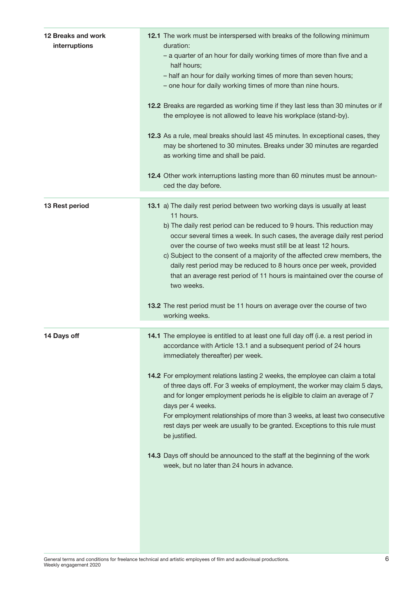| 12 Breaks and work<br>interruptions | 12.1 The work must be interspersed with breaks of the following minimum<br>duration:<br>- a quarter of an hour for daily working times of more than five and a<br>half hours;<br>- half an hour for daily working times of more than seven hours;<br>- one hour for daily working times of more than nine hours.<br>12.2 Breaks are regarded as working time if they last less than 30 minutes or if<br>the employee is not allowed to leave his workplace (stand-by).                                                                                                                                                                                                                                                                                                   |
|-------------------------------------|--------------------------------------------------------------------------------------------------------------------------------------------------------------------------------------------------------------------------------------------------------------------------------------------------------------------------------------------------------------------------------------------------------------------------------------------------------------------------------------------------------------------------------------------------------------------------------------------------------------------------------------------------------------------------------------------------------------------------------------------------------------------------|
|                                     | 12.3 As a rule, meal breaks should last 45 minutes. In exceptional cases, they<br>may be shortened to 30 minutes. Breaks under 30 minutes are regarded<br>as working time and shall be paid.                                                                                                                                                                                                                                                                                                                                                                                                                                                                                                                                                                             |
|                                     | 12.4 Other work interruptions lasting more than 60 minutes must be announ-<br>ced the day before.                                                                                                                                                                                                                                                                                                                                                                                                                                                                                                                                                                                                                                                                        |
| 13 Rest period                      | 13.1 a) The daily rest period between two working days is usually at least<br>11 hours.<br>b) The daily rest period can be reduced to 9 hours. This reduction may<br>occur several times a week. In such cases, the average daily rest period<br>over the course of two weeks must still be at least 12 hours.<br>c) Subject to the consent of a majority of the affected crew members, the<br>daily rest period may be reduced to 8 hours once per week, provided<br>that an average rest period of 11 hours is maintained over the course of<br>two weeks.<br>13.2 The rest period must be 11 hours on average over the course of two                                                                                                                                  |
|                                     | working weeks.                                                                                                                                                                                                                                                                                                                                                                                                                                                                                                                                                                                                                                                                                                                                                           |
| 14 Days off                         | 14.1 The employee is entitled to at least one full day off (i.e. a rest period in<br>accordance with Article 13.1 and a subsequent period of 24 hours<br>immediately thereafter) per week.<br>14.2 For employment relations lasting 2 weeks, the employee can claim a total<br>of three days off. For 3 weeks of employment, the worker may claim 5 days,<br>and for longer employment periods he is eligible to claim an average of 7<br>days per 4 weeks.<br>For employment relationships of more than 3 weeks, at least two consecutive<br>rest days per week are usually to be granted. Exceptions to this rule must<br>be justified.<br>14.3 Days off should be announced to the staff at the beginning of the work<br>week, but no later than 24 hours in advance. |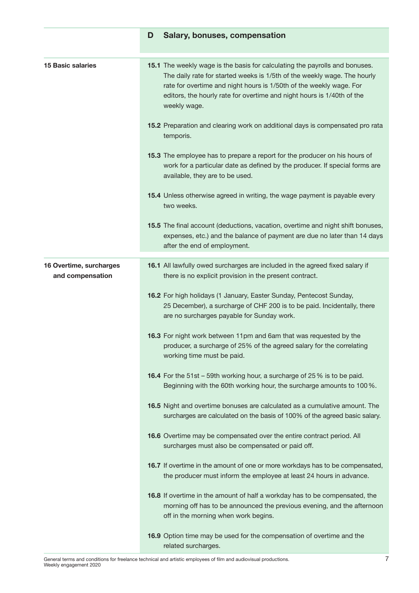|                                             | D | <b>Salary, bonuses, compensation</b>                                                                                                                                                                                                                                                                                     |
|---------------------------------------------|---|--------------------------------------------------------------------------------------------------------------------------------------------------------------------------------------------------------------------------------------------------------------------------------------------------------------------------|
| <b>15 Basic salaries</b>                    |   | 15.1 The weekly wage is the basis for calculating the payrolls and bonuses.<br>The daily rate for started weeks is 1/5th of the weekly wage. The hourly<br>rate for overtime and night hours is 1/50th of the weekly wage. For<br>editors, the hourly rate for overtime and night hours is 1/40th of the<br>weekly wage. |
|                                             |   | 15.2 Preparation and clearing work on additional days is compensated pro rata<br>temporis.                                                                                                                                                                                                                               |
|                                             |   | 15.3 The employee has to prepare a report for the producer on his hours of<br>work for a particular date as defined by the producer. If special forms are<br>available, they are to be used.                                                                                                                             |
|                                             |   | 15.4 Unless otherwise agreed in writing, the wage payment is payable every<br>two weeks.                                                                                                                                                                                                                                 |
|                                             |   | 15.5 The final account (deductions, vacation, overtime and night shift bonuses,<br>expenses, etc.) and the balance of payment are due no later than 14 days<br>after the end of employment.                                                                                                                              |
| 16 Overtime, surcharges<br>and compensation |   | 16.1 All lawfully owed surcharges are included in the agreed fixed salary if<br>there is no explicit provision in the present contract.                                                                                                                                                                                  |
|                                             |   | 16.2 For high holidays (1 January, Easter Sunday, Pentecost Sunday,<br>25 December), a surcharge of CHF 200 is to be paid. Incidentally, there<br>are no surcharges payable for Sunday work.                                                                                                                             |
|                                             |   | 16.3 For night work between 11pm and 6am that was requested by the<br>producer, a surcharge of 25% of the agreed salary for the correlating<br>working time must be paid.                                                                                                                                                |
|                                             |   | 16.4 For the 51st - 59th working hour, a surcharge of 25% is to be paid.<br>Beginning with the 60th working hour, the surcharge amounts to 100 %.                                                                                                                                                                        |
|                                             |   | 16.5 Night and overtime bonuses are calculated as a cumulative amount. The<br>surcharges are calculated on the basis of 100% of the agreed basic salary.                                                                                                                                                                 |
|                                             |   | 16.6 Overtime may be compensated over the entire contract period. All<br>surcharges must also be compensated or paid off.                                                                                                                                                                                                |
|                                             |   | 16.7 If overtime in the amount of one or more workdays has to be compensated,<br>the producer must inform the employee at least 24 hours in advance.                                                                                                                                                                     |
|                                             |   | 16.8 If overtime in the amount of half a workday has to be compensated, the<br>morning off has to be announced the previous evening, and the afternoon<br>off in the morning when work begins.                                                                                                                           |
|                                             |   | 16.9 Option time may be used for the compensation of overtime and the<br>related surcharges.                                                                                                                                                                                                                             |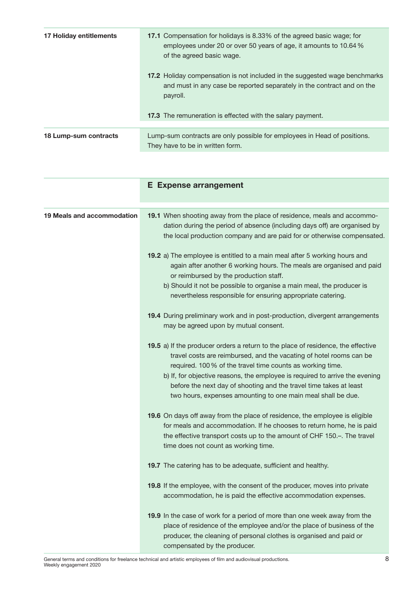| 17 Holiday entitlements | <b>17.1</b> Compensation for holidays is 8.33% of the agreed basic wage; for<br>employees under 20 or over 50 years of age, it amounts to 10.64 %<br>of the agreed basic wage. |
|-------------------------|--------------------------------------------------------------------------------------------------------------------------------------------------------------------------------|
|                         | <b>17.2</b> Holiday compensation is not included in the suggested wage benchmarks<br>and must in any case be reported separately in the contract and on the<br>payroll.        |
|                         | <b>17.3</b> The remuneration is effected with the salary payment.                                                                                                              |
| 18 Lump-sum contracts   | Lump-sum contracts are only possible for employees in Head of positions.<br>They have to be in written form.                                                                   |

|                            | <b>E</b> Expense arrangement                                                                                                                                                                                                                                                                                                                                                                                                               |
|----------------------------|--------------------------------------------------------------------------------------------------------------------------------------------------------------------------------------------------------------------------------------------------------------------------------------------------------------------------------------------------------------------------------------------------------------------------------------------|
| 19 Meals and accommodation | 19.1 When shooting away from the place of residence, meals and accommo-<br>dation during the period of absence (including days off) are organised by<br>the local production company and are paid for or otherwise compensated.                                                                                                                                                                                                            |
|                            | 19.2 a) The employee is entitled to a main meal after 5 working hours and<br>again after another 6 working hours. The meals are organised and paid<br>or reimbursed by the production staff.                                                                                                                                                                                                                                               |
|                            | b) Should it not be possible to organise a main meal, the producer is<br>nevertheless responsible for ensuring appropriate catering.                                                                                                                                                                                                                                                                                                       |
|                            | 19.4 During preliminary work and in post-production, divergent arrangements<br>may be agreed upon by mutual consent.                                                                                                                                                                                                                                                                                                                       |
|                            | 19.5 a) If the producer orders a return to the place of residence, the effective<br>travel costs are reimbursed, and the vacating of hotel rooms can be<br>required. 100% of the travel time counts as working time.<br>b) If, for objective reasons, the employee is required to arrive the evening<br>before the next day of shooting and the travel time takes at least<br>two hours, expenses amounting to one main meal shall be due. |
|                            | 19.6 On days off away from the place of residence, the employee is eligible<br>for meals and accommodation. If he chooses to return home, he is paid<br>the effective transport costs up to the amount of CHF 150.-. The travel<br>time does not count as working time.                                                                                                                                                                    |
|                            | 19.7 The catering has to be adequate, sufficient and healthy.                                                                                                                                                                                                                                                                                                                                                                              |
|                            | 19.8 If the employee, with the consent of the producer, moves into private<br>accommodation, he is paid the effective accommodation expenses.                                                                                                                                                                                                                                                                                              |
|                            | 19.9 In the case of work for a period of more than one week away from the<br>place of residence of the employee and/or the place of business of the<br>producer, the cleaning of personal clothes is organised and paid or<br>compensated by the producer.                                                                                                                                                                                 |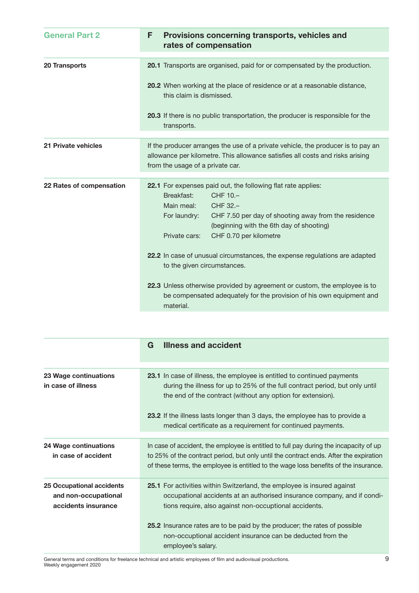| <b>General Part 2</b>    | Provisions concerning transports, vehicles and<br>F<br>rates of compensation                                                                                                                                                                                                    |
|--------------------------|---------------------------------------------------------------------------------------------------------------------------------------------------------------------------------------------------------------------------------------------------------------------------------|
| 20 Transports            | 20.1 Transports are organised, paid for or compensated by the production.                                                                                                                                                                                                       |
|                          | 20.2 When working at the place of residence or at a reasonable distance,<br>this claim is dismissed.                                                                                                                                                                            |
|                          | 20.3 If there is no public transportation, the producer is responsible for the<br>transports.                                                                                                                                                                                   |
|                          |                                                                                                                                                                                                                                                                                 |
| 21 Private vehicles      | If the producer arranges the use of a private vehicle, the producer is to pay an<br>allowance per kilometre. This allowance satisfies all costs and risks arising<br>from the usage of a private car.                                                                           |
|                          |                                                                                                                                                                                                                                                                                 |
| 22 Rates of compensation | 22.1 For expenses paid out, the following flat rate applies:<br>CHF 10.-<br>Breakfast:<br>CHF 32.-<br>Main meal:<br>For laundry:<br>CHF 7.50 per day of shooting away from the residence<br>(beginning with the 6th day of shooting)<br>CHF 0.70 per kilometre<br>Private cars: |
|                          | 22.2 In case of unusual circumstances, the expense regulations are adapted<br>to the given circumstances.                                                                                                                                                                       |
|                          | 22.3 Unless otherwise provided by agreement or custom, the employee is to<br>be compensated adequately for the provision of his own equipment and<br>material.                                                                                                                  |

|                                                                          | <b>Illness and accident</b><br>G                                                                                                                                                                                                                                       |
|--------------------------------------------------------------------------|------------------------------------------------------------------------------------------------------------------------------------------------------------------------------------------------------------------------------------------------------------------------|
|                                                                          |                                                                                                                                                                                                                                                                        |
| 23 Wage continuations<br>in case of illness                              | <b>23.1</b> In case of illness, the employee is entitled to continued payments<br>during the illness for up to 25% of the full contract period, but only until<br>the end of the contract (without any option for extension).                                          |
|                                                                          | 23.2 If the illness lasts longer than 3 days, the employee has to provide a<br>medical certificate as a requirement for continued payments.                                                                                                                            |
|                                                                          |                                                                                                                                                                                                                                                                        |
| 24 Wage continuations<br>in case of accident                             | In case of accident, the employee is entitled to full pay during the incapacity of up<br>to 25% of the contract period, but only until the contract ends. After the expiration<br>of these terms, the employee is entitled to the wage loss benefits of the insurance. |
| 25 Occupational accidents<br>and non-occupational<br>accidents insurance | 25.1 For activities within Switzerland, the employee is insured against<br>occupational accidents at an authorised insurance company, and if condi-<br>tions require, also against non-occuptional accidents.                                                          |
|                                                                          | 25.2 Insurance rates are to be paid by the producer; the rates of possible<br>non-occuptional accident insurance can be deducted from the<br>employee's salary.                                                                                                        |

General terms and conditions for freelance technical and artistic employees of film and audiovisual productions. Weekly engagement 2020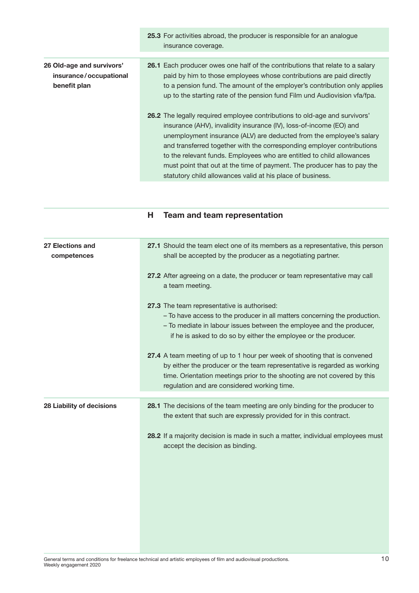|                                                                     | 25.3 For activities abroad, the producer is responsible for an analogue<br>insurance coverage.                                                                                                                                                                                                                                                                                                                                                                                                                               |
|---------------------------------------------------------------------|------------------------------------------------------------------------------------------------------------------------------------------------------------------------------------------------------------------------------------------------------------------------------------------------------------------------------------------------------------------------------------------------------------------------------------------------------------------------------------------------------------------------------|
| 26 Old-age and survivors'<br>insurance/occupational<br>benefit plan | <b>26.1</b> Each producer owes one half of the contributions that relate to a salary<br>paid by him to those employees whose contributions are paid directly<br>to a pension fund. The amount of the employer's contribution only applies<br>up to the starting rate of the pension fund Film und Audiovision vfa/fpa.                                                                                                                                                                                                       |
|                                                                     | <b>26.2</b> The legally required employee contributions to old-age and survivors'<br>insurance (AHV), invalidity insurance (IV), loss-of-income (EO) and<br>unemployment insurance (ALV) are deducted from the employee's salary<br>and transferred together with the corresponding employer contributions<br>to the relevant funds. Employees who are entitled to child allowances<br>must point that out at the time of payment. The producer has to pay the<br>statutory child allowances valid at his place of business. |

**H Team and team representation** 

| 27 Elections and<br>competences | 27.1 Should the team elect one of its members as a representative, this person<br>shall be accepted by the producer as a negotiating partner.                                                                                                                                    |
|---------------------------------|----------------------------------------------------------------------------------------------------------------------------------------------------------------------------------------------------------------------------------------------------------------------------------|
|                                 | 27.2 After agreeing on a date, the producer or team representative may call<br>a team meeting.                                                                                                                                                                                   |
|                                 | 27.3 The team representative is authorised:<br>- To have access to the producer in all matters concerning the production.<br>- To mediate in labour issues between the employee and the producer,<br>if he is asked to do so by either the employee or the producer.             |
|                                 | 27.4 A team meeting of up to 1 hour per week of shooting that is convened<br>by either the producer or the team representative is regarded as working<br>time. Orientation meetings prior to the shooting are not covered by this<br>regulation and are considered working time. |
|                                 |                                                                                                                                                                                                                                                                                  |
|                                 |                                                                                                                                                                                                                                                                                  |
| 28 Liability of decisions       | 28.1 The decisions of the team meeting are only binding for the producer to<br>the extent that such are expressly provided for in this contract.                                                                                                                                 |
|                                 | 28.2 If a majority decision is made in such a matter, individual employees must<br>accept the decision as binding.                                                                                                                                                               |
|                                 |                                                                                                                                                                                                                                                                                  |
|                                 |                                                                                                                                                                                                                                                                                  |